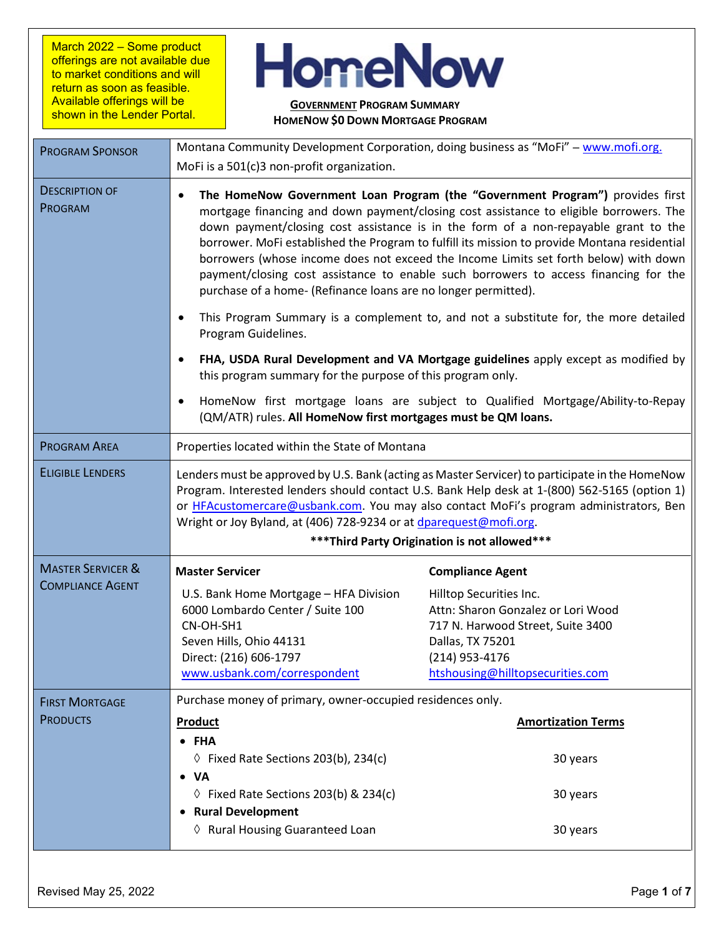March 2022 – Some product offerings are not available due to market conditions and will return as soon as feasible. Available offerings will be shown in the Lender Portal.

## **HomeNow**

## **GOVERNMENT PROGRAM SUMMARY HOMENOW \$0 DOWN MORTGAGE PROGRAM**

| <b>PROGRAM SPONSOR</b>           | Montana Community Development Corporation, doing business as "MoFi" - www.mofi.org.                                                                                                                                                                                                                                                                                                                                                                                                                                                                                                                                                                                                                      |                                                                                                                                                                              |  |  |
|----------------------------------|----------------------------------------------------------------------------------------------------------------------------------------------------------------------------------------------------------------------------------------------------------------------------------------------------------------------------------------------------------------------------------------------------------------------------------------------------------------------------------------------------------------------------------------------------------------------------------------------------------------------------------------------------------------------------------------------------------|------------------------------------------------------------------------------------------------------------------------------------------------------------------------------|--|--|
|                                  | MoFi is a 501(c)3 non-profit organization.                                                                                                                                                                                                                                                                                                                                                                                                                                                                                                                                                                                                                                                               |                                                                                                                                                                              |  |  |
| <b>DESCRIPTION OF</b><br>PROGRAM | The HomeNow Government Loan Program (the "Government Program") provides first<br>mortgage financing and down payment/closing cost assistance to eligible borrowers. The<br>down payment/closing cost assistance is in the form of a non-repayable grant to the<br>borrower. MoFi established the Program to fulfill its mission to provide Montana residential<br>borrowers (whose income does not exceed the Income Limits set forth below) with down<br>payment/closing cost assistance to enable such borrowers to access financing for the<br>purchase of a home- (Refinance loans are no longer permitted).<br>This Program Summary is a complement to, and not a substitute for, the more detailed |                                                                                                                                                                              |  |  |
|                                  | Program Guidelines.<br>FHA, USDA Rural Development and VA Mortgage guidelines apply except as modified by<br>this program summary for the purpose of this program only.<br>HomeNow first mortgage loans are subject to Qualified Mortgage/Ability-to-Repay<br>(QM/ATR) rules. All HomeNow first mortgages must be QM loans.                                                                                                                                                                                                                                                                                                                                                                              |                                                                                                                                                                              |  |  |
|                                  |                                                                                                                                                                                                                                                                                                                                                                                                                                                                                                                                                                                                                                                                                                          |                                                                                                                                                                              |  |  |
| <b>PROGRAM AREA</b>              | Properties located within the State of Montana                                                                                                                                                                                                                                                                                                                                                                                                                                                                                                                                                                                                                                                           |                                                                                                                                                                              |  |  |
| <b>ELIGIBLE LENDERS</b>          | Lenders must be approved by U.S. Bank (acting as Master Servicer) to participate in the HomeNow<br>Program. Interested lenders should contact U.S. Bank Help desk at 1-(800) 562-5165 (option 1)<br>or HFAcustomercare@usbank.com. You may also contact MoFi's program administrators, Ben<br>Wright or Joy Byland, at (406) 728-9234 or at dparequest@mofi.org.<br>*** Third Party Origination is not allowed***                                                                                                                                                                                                                                                                                        |                                                                                                                                                                              |  |  |
| <b>MASTER SERVICER &amp;</b>     | <b>Master Servicer</b>                                                                                                                                                                                                                                                                                                                                                                                                                                                                                                                                                                                                                                                                                   | <b>Compliance Agent</b>                                                                                                                                                      |  |  |
| <b>COMPLIANCE AGENT</b>          | U.S. Bank Home Mortgage - HFA Division<br>6000 Lombardo Center / Suite 100<br>CN-OH-SH1<br>Seven Hills, Ohio 44131<br>Direct: (216) 606-1797<br>www.usbank.com/correspondent                                                                                                                                                                                                                                                                                                                                                                                                                                                                                                                             | Hilltop Securities Inc.<br>Attn: Sharon Gonzalez or Lori Wood<br>717 N. Harwood Street, Suite 3400<br>Dallas, TX 75201<br>(214) 953-4176<br>htshousing@hilltopsecurities.com |  |  |
| <b>FIRST MORTGAGE</b>            | Purchase money of primary, owner-occupied residences only.                                                                                                                                                                                                                                                                                                                                                                                                                                                                                                                                                                                                                                               |                                                                                                                                                                              |  |  |
| <b>PRODUCTS</b>                  | Product                                                                                                                                                                                                                                                                                                                                                                                                                                                                                                                                                                                                                                                                                                  | <b>Amortization Terms</b>                                                                                                                                                    |  |  |
|                                  | • FHA<br>$\Diamond$ Fixed Rate Sections 203(b), 234(c)<br><b>VA</b>                                                                                                                                                                                                                                                                                                                                                                                                                                                                                                                                                                                                                                      | 30 years                                                                                                                                                                     |  |  |
|                                  | $\Diamond$ Fixed Rate Sections 203(b) & 234(c)<br><b>Rural Development</b>                                                                                                                                                                                                                                                                                                                                                                                                                                                                                                                                                                                                                               | 30 years                                                                                                                                                                     |  |  |
|                                  | ♦ Rural Housing Guaranteed Loan                                                                                                                                                                                                                                                                                                                                                                                                                                                                                                                                                                                                                                                                          | 30 years                                                                                                                                                                     |  |  |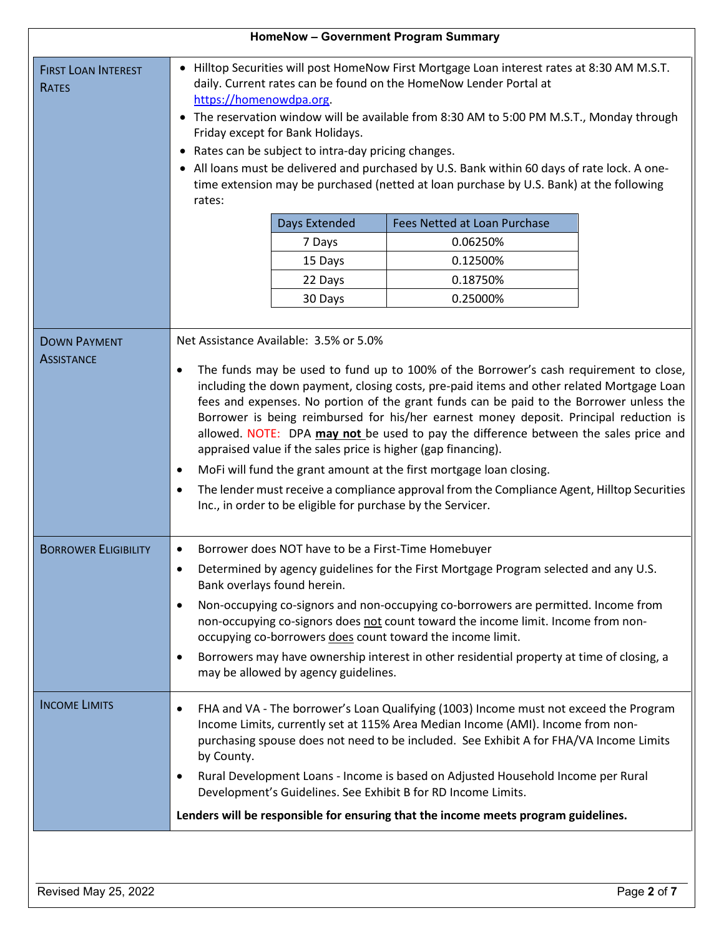| <b>HomeNow - Government Program Summary</b> |                                                                                                                                                                                                                                                                                                                                                                                                                                                                                                                                                                                                                                                                                                                                                                                                                                                |  |  |  |
|---------------------------------------------|------------------------------------------------------------------------------------------------------------------------------------------------------------------------------------------------------------------------------------------------------------------------------------------------------------------------------------------------------------------------------------------------------------------------------------------------------------------------------------------------------------------------------------------------------------------------------------------------------------------------------------------------------------------------------------------------------------------------------------------------------------------------------------------------------------------------------------------------|--|--|--|
| <b>FIRST LOAN INTEREST</b><br><b>RATES</b>  | • Hilltop Securities will post HomeNow First Mortgage Loan interest rates at 8:30 AM M.S.T.<br>daily. Current rates can be found on the HomeNow Lender Portal at<br>https://homenowdpa.org<br>• The reservation window will be available from 8:30 AM to 5:00 PM M.S.T., Monday through<br>Friday except for Bank Holidays.<br>• Rates can be subject to intra-day pricing changes.<br>• All loans must be delivered and purchased by U.S. Bank within 60 days of rate lock. A one-<br>time extension may be purchased (netted at loan purchase by U.S. Bank) at the following<br>rates:<br><b>Days Extended</b><br>Fees Netted at Loan Purchase<br>0.06250%<br>7 Days<br>0.12500%<br>15 Days                                                                                                                                                  |  |  |  |
|                                             | 0.18750%<br>22 Days                                                                                                                                                                                                                                                                                                                                                                                                                                                                                                                                                                                                                                                                                                                                                                                                                            |  |  |  |
|                                             | 0.25000%<br>30 Days                                                                                                                                                                                                                                                                                                                                                                                                                                                                                                                                                                                                                                                                                                                                                                                                                            |  |  |  |
|                                             |                                                                                                                                                                                                                                                                                                                                                                                                                                                                                                                                                                                                                                                                                                                                                                                                                                                |  |  |  |
| <b>DOWN PAYMENT</b><br><b>ASSISTANCE</b>    | Net Assistance Available: 3.5% or 5.0%<br>The funds may be used to fund up to 100% of the Borrower's cash requirement to close,<br>٠<br>including the down payment, closing costs, pre-paid items and other related Mortgage Loan<br>fees and expenses. No portion of the grant funds can be paid to the Borrower unless the<br>Borrower is being reimbursed for his/her earnest money deposit. Principal reduction is<br>allowed. NOTE: DPA may not be used to pay the difference between the sales price and<br>appraised value if the sales price is higher (gap financing).<br>MoFi will fund the grant amount at the first mortgage loan closing.<br>$\bullet$<br>The lender must receive a compliance approval from the Compliance Agent, Hilltop Securities<br>$\bullet$<br>Inc., in order to be eligible for purchase by the Servicer. |  |  |  |
| <b>BORROWER ELIGIBILITY</b>                 | Borrower does NOT have to be a First-Time Homebuyer<br>$\bullet$                                                                                                                                                                                                                                                                                                                                                                                                                                                                                                                                                                                                                                                                                                                                                                               |  |  |  |
|                                             | Determined by agency guidelines for the First Mortgage Program selected and any U.S.<br>Bank overlays found herein.                                                                                                                                                                                                                                                                                                                                                                                                                                                                                                                                                                                                                                                                                                                            |  |  |  |
|                                             | Non-occupying co-signors and non-occupying co-borrowers are permitted. Income from<br>$\bullet$<br>non-occupying co-signors does not count toward the income limit. Income from non-<br>occupying co-borrowers does count toward the income limit.                                                                                                                                                                                                                                                                                                                                                                                                                                                                                                                                                                                             |  |  |  |
|                                             | Borrowers may have ownership interest in other residential property at time of closing, a<br>$\bullet$<br>may be allowed by agency guidelines.                                                                                                                                                                                                                                                                                                                                                                                                                                                                                                                                                                                                                                                                                                 |  |  |  |
| <b>INCOME LIMITS</b>                        | FHA and VA - The borrower's Loan Qualifying (1003) Income must not exceed the Program<br>$\bullet$<br>Income Limits, currently set at 115% Area Median Income (AMI). Income from non-<br>purchasing spouse does not need to be included. See Exhibit A for FHA/VA Income Limits<br>by County.<br>Rural Development Loans - Income is based on Adjusted Household Income per Rural<br>$\bullet$                                                                                                                                                                                                                                                                                                                                                                                                                                                 |  |  |  |
|                                             | Development's Guidelines. See Exhibit B for RD Income Limits.                                                                                                                                                                                                                                                                                                                                                                                                                                                                                                                                                                                                                                                                                                                                                                                  |  |  |  |
|                                             | Lenders will be responsible for ensuring that the income meets program guidelines.                                                                                                                                                                                                                                                                                                                                                                                                                                                                                                                                                                                                                                                                                                                                                             |  |  |  |
|                                             |                                                                                                                                                                                                                                                                                                                                                                                                                                                                                                                                                                                                                                                                                                                                                                                                                                                |  |  |  |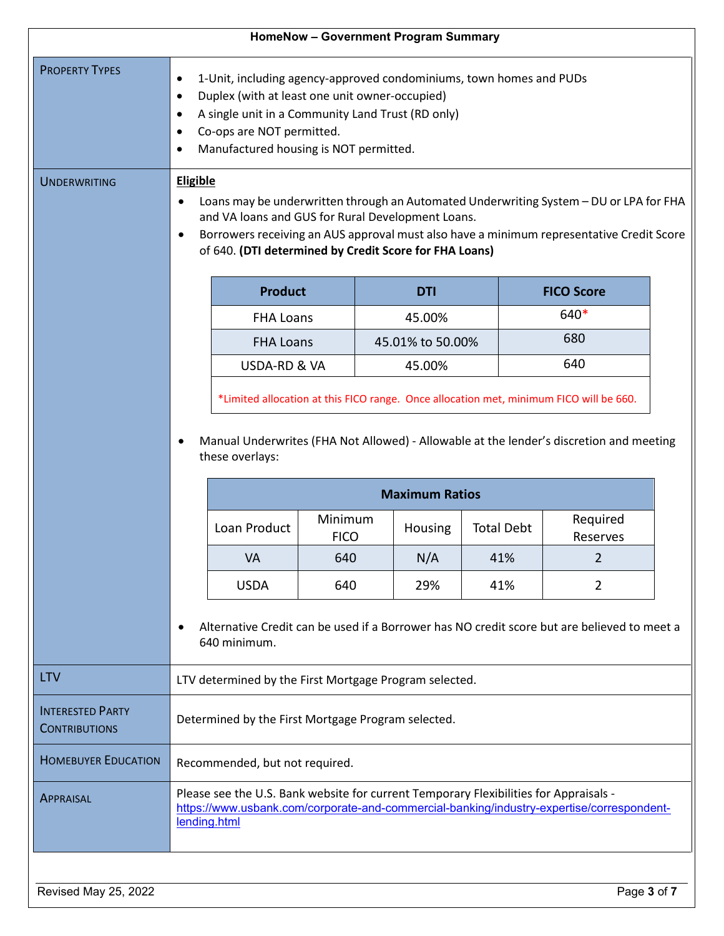| <b>HomeNow - Government Program Summary</b>     |                                                                                                                                                                                                                                                                                                                                                                                                                                                                                                                                                                                                                  |                  |     |  |                      |     |                                                                                        |  |
|-------------------------------------------------|------------------------------------------------------------------------------------------------------------------------------------------------------------------------------------------------------------------------------------------------------------------------------------------------------------------------------------------------------------------------------------------------------------------------------------------------------------------------------------------------------------------------------------------------------------------------------------------------------------------|------------------|-----|--|----------------------|-----|----------------------------------------------------------------------------------------|--|
| <b>PROPERTY TYPES</b><br><b>UNDERWRITING</b>    | 1-Unit, including agency-approved condominiums, town homes and PUDs<br>$\bullet$<br>Duplex (with at least one unit owner-occupied)<br>$\bullet$<br>A single unit in a Community Land Trust (RD only)<br>$\bullet$<br>Co-ops are NOT permitted.<br>Manufactured housing is NOT permitted.<br><b>Eligible</b><br>Loans may be underwritten through an Automated Underwriting System - DU or LPA for FHA<br>and VA loans and GUS for Rural Development Loans.<br>Borrowers receiving an AUS approval must also have a minimum representative Credit Score<br>of 640. (DTI determined by Credit Score for FHA Loans) |                  |     |  |                      |     |                                                                                        |  |
|                                                 |                                                                                                                                                                                                                                                                                                                                                                                                                                                                                                                                                                                                                  | <b>Product</b>   |     |  | <b>DTI</b>           |     | <b>FICO Score</b>                                                                      |  |
|                                                 |                                                                                                                                                                                                                                                                                                                                                                                                                                                                                                                                                                                                                  | <b>FHA Loans</b> |     |  | 45.00%               |     | 640*                                                                                   |  |
|                                                 |                                                                                                                                                                                                                                                                                                                                                                                                                                                                                                                                                                                                                  | <b>FHA Loans</b> |     |  | 45.01% to 50.00%     |     | 680                                                                                    |  |
|                                                 |                                                                                                                                                                                                                                                                                                                                                                                                                                                                                                                                                                                                                  | USDA-RD & VA     |     |  | 45.00%               |     | 640                                                                                    |  |
|                                                 |                                                                                                                                                                                                                                                                                                                                                                                                                                                                                                                                                                                                                  |                  |     |  |                      |     | *Limited allocation at this FICO range. Once allocation met, minimum FICO will be 660. |  |
|                                                 | Manual Underwrites (FHA Not Allowed) - Allowable at the lender's discretion and meeting<br>these overlays:<br><b>Maximum Ratios</b>                                                                                                                                                                                                                                                                                                                                                                                                                                                                              |                  |     |  |                      |     |                                                                                        |  |
|                                                 | Minimum<br>Loan Product<br><b>Total Debt</b><br>Housing<br><b>FICO</b>                                                                                                                                                                                                                                                                                                                                                                                                                                                                                                                                           |                  |     |  | Required<br>Reserves |     |                                                                                        |  |
|                                                 |                                                                                                                                                                                                                                                                                                                                                                                                                                                                                                                                                                                                                  | VA               | 640 |  | N/A                  | 41% | $\overline{2}$                                                                         |  |
|                                                 |                                                                                                                                                                                                                                                                                                                                                                                                                                                                                                                                                                                                                  | <b>USDA</b>      | 640 |  | 29%                  | 41% | $\overline{2}$                                                                         |  |
|                                                 | Alternative Credit can be used if a Borrower has NO credit score but are believed to meet a<br>640 minimum.                                                                                                                                                                                                                                                                                                                                                                                                                                                                                                      |                  |     |  |                      |     |                                                                                        |  |
| <b>LTV</b>                                      | LTV determined by the First Mortgage Program selected.                                                                                                                                                                                                                                                                                                                                                                                                                                                                                                                                                           |                  |     |  |                      |     |                                                                                        |  |
| <b>INTERESTED PARTY</b><br><b>CONTRIBUTIONS</b> | Determined by the First Mortgage Program selected.                                                                                                                                                                                                                                                                                                                                                                                                                                                                                                                                                               |                  |     |  |                      |     |                                                                                        |  |
| <b>HOMEBUYER EDUCATION</b>                      | Recommended, but not required.                                                                                                                                                                                                                                                                                                                                                                                                                                                                                                                                                                                   |                  |     |  |                      |     |                                                                                        |  |
| <b>APPRAISAL</b>                                | Please see the U.S. Bank website for current Temporary Flexibilities for Appraisals -<br>https://www.usbank.com/corporate-and-commercial-banking/industry-expertise/correspondent-<br>lending.html                                                                                                                                                                                                                                                                                                                                                                                                               |                  |     |  |                      |     |                                                                                        |  |
| Revised May 25, 2022                            |                                                                                                                                                                                                                                                                                                                                                                                                                                                                                                                                                                                                                  |                  |     |  |                      |     | Page 3 of 7                                                                            |  |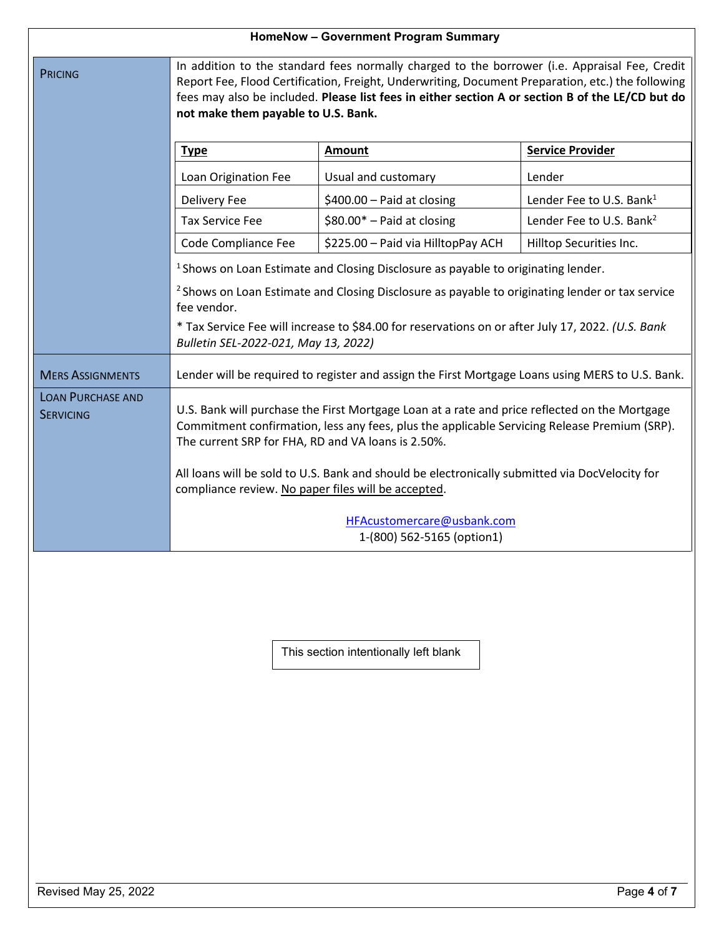| HomeNow - Government Program Summary         |                                                                                                                                                                                                                                                                                                                                               |  |  |  |  |
|----------------------------------------------|-----------------------------------------------------------------------------------------------------------------------------------------------------------------------------------------------------------------------------------------------------------------------------------------------------------------------------------------------|--|--|--|--|
| <b>PRICING</b>                               | In addition to the standard fees normally charged to the borrower (i.e. Appraisal Fee, Credit<br>Report Fee, Flood Certification, Freight, Underwriting, Document Preparation, etc.) the following<br>fees may also be included. Please list fees in either section A or section B of the LE/CD but do<br>not make them payable to U.S. Bank. |  |  |  |  |
|                                              | <b>Service Provider</b><br><b>Amount</b><br><b>Type</b>                                                                                                                                                                                                                                                                                       |  |  |  |  |
|                                              | Usual and customary<br>Lender<br>Loan Origination Fee                                                                                                                                                                                                                                                                                         |  |  |  |  |
|                                              | \$400.00 - Paid at closing<br>Lender Fee to U.S. Bank <sup>1</sup><br>Delivery Fee                                                                                                                                                                                                                                                            |  |  |  |  |
|                                              | $$80.00*$ - Paid at closing<br><b>Tax Service Fee</b><br>Lender Fee to U.S. Bank <sup>2</sup>                                                                                                                                                                                                                                                 |  |  |  |  |
|                                              | Code Compliance Fee<br>\$225.00 - Paid via HilltopPay ACH<br>Hilltop Securities Inc.                                                                                                                                                                                                                                                          |  |  |  |  |
|                                              | <sup>1</sup> Shows on Loan Estimate and Closing Disclosure as payable to originating lender.                                                                                                                                                                                                                                                  |  |  |  |  |
|                                              | <sup>2</sup> Shows on Loan Estimate and Closing Disclosure as payable to originating lender or tax service<br>fee vendor.                                                                                                                                                                                                                     |  |  |  |  |
|                                              | * Tax Service Fee will increase to \$84.00 for reservations on or after July 17, 2022. (U.S. Bank<br>Bulletin SEL-2022-021, May 13, 2022)                                                                                                                                                                                                     |  |  |  |  |
| <b>MERS ASSIGNMENTS</b>                      | Lender will be required to register and assign the First Mortgage Loans using MERS to U.S. Bank.                                                                                                                                                                                                                                              |  |  |  |  |
| <b>LOAN PURCHASE AND</b><br><b>SERVICING</b> | U.S. Bank will purchase the First Mortgage Loan at a rate and price reflected on the Mortgage<br>Commitment confirmation, less any fees, plus the applicable Servicing Release Premium (SRP).<br>The current SRP for FHA, RD and VA loans is 2.50%.                                                                                           |  |  |  |  |
|                                              | All loans will be sold to U.S. Bank and should be electronically submitted via DocVelocity for<br>compliance review. No paper files will be accepted.                                                                                                                                                                                         |  |  |  |  |
|                                              | HFAcustomercare@usbank.com<br>1-(800) 562-5165 (option1)                                                                                                                                                                                                                                                                                      |  |  |  |  |

This section intentionally left blank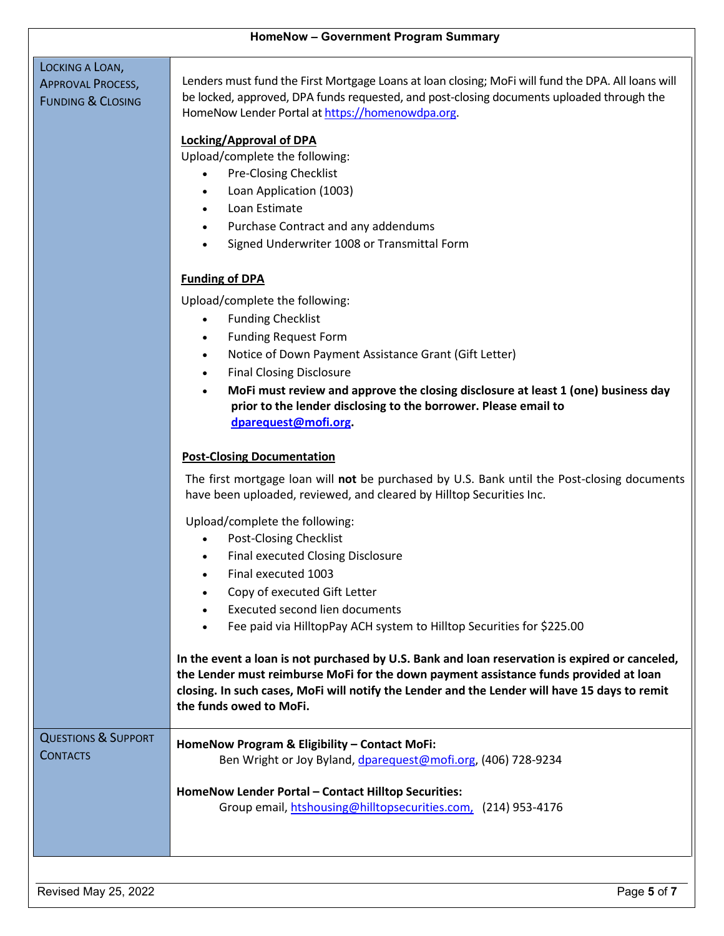| <b>HomeNow - Government Program Summary</b>              |                                                                                                                                                                                                                                                                                                                                                                                                                                                                                                                                                                                                                                        |  |  |  |
|----------------------------------------------------------|----------------------------------------------------------------------------------------------------------------------------------------------------------------------------------------------------------------------------------------------------------------------------------------------------------------------------------------------------------------------------------------------------------------------------------------------------------------------------------------------------------------------------------------------------------------------------------------------------------------------------------------|--|--|--|
| LOCKING A LOAN,                                          |                                                                                                                                                                                                                                                                                                                                                                                                                                                                                                                                                                                                                                        |  |  |  |
| <b>APPROVAL PROCESS,</b><br><b>FUNDING &amp; CLOSING</b> | Lenders must fund the First Mortgage Loans at loan closing; MoFi will fund the DPA. All loans will<br>be locked, approved, DPA funds requested, and post-closing documents uploaded through the<br>HomeNow Lender Portal at https://homenowdpa.org.                                                                                                                                                                                                                                                                                                                                                                                    |  |  |  |
|                                                          | <b>Locking/Approval of DPA</b><br>Upload/complete the following:<br><b>Pre-Closing Checklist</b><br>$\bullet$<br>Loan Application (1003)<br>Loan Estimate<br>Purchase Contract and any addendums<br>Signed Underwriter 1008 or Transmittal Form<br><b>Funding of DPA</b><br>Upload/complete the following:<br><b>Funding Checklist</b><br><b>Funding Request Form</b><br>Notice of Down Payment Assistance Grant (Gift Letter)<br><b>Final Closing Disclosure</b><br>$\bullet$<br>MoFi must review and approve the closing disclosure at least 1 (one) business day<br>prior to the lender disclosing to the borrower. Please email to |  |  |  |
|                                                          | dparequest@mofi.org.<br><b>Post-Closing Documentation</b><br>The first mortgage loan will not be purchased by U.S. Bank until the Post-closing documents<br>have been uploaded, reviewed, and cleared by Hilltop Securities Inc.<br>Upload/complete the following:<br><b>Post-Closing Checklist</b><br><b>Final executed Closing Disclosure</b>                                                                                                                                                                                                                                                                                        |  |  |  |
|                                                          | Final executed 1003<br>Copy of executed Gift Letter<br><b>Executed second lien documents</b><br>Fee paid via HilltopPay ACH system to Hilltop Securities for \$225.00                                                                                                                                                                                                                                                                                                                                                                                                                                                                  |  |  |  |
|                                                          | In the event a loan is not purchased by U.S. Bank and loan reservation is expired or canceled,<br>the Lender must reimburse MoFi for the down payment assistance funds provided at loan<br>closing. In such cases, MoFi will notify the Lender and the Lender will have 15 days to remit<br>the funds owed to MoFi.                                                                                                                                                                                                                                                                                                                    |  |  |  |
| <b>QUESTIONS &amp; SUPPORT</b><br><b>CONTACTS</b>        | HomeNow Program & Eligibility - Contact MoFi:<br>Ben Wright or Joy Byland, dparequest@mofi.org, (406) 728-9234<br>HomeNow Lender Portal - Contact Hilltop Securities:                                                                                                                                                                                                                                                                                                                                                                                                                                                                  |  |  |  |
|                                                          | Group email, htshousing@hilltopsecurities.com, (214) 953-4176                                                                                                                                                                                                                                                                                                                                                                                                                                                                                                                                                                          |  |  |  |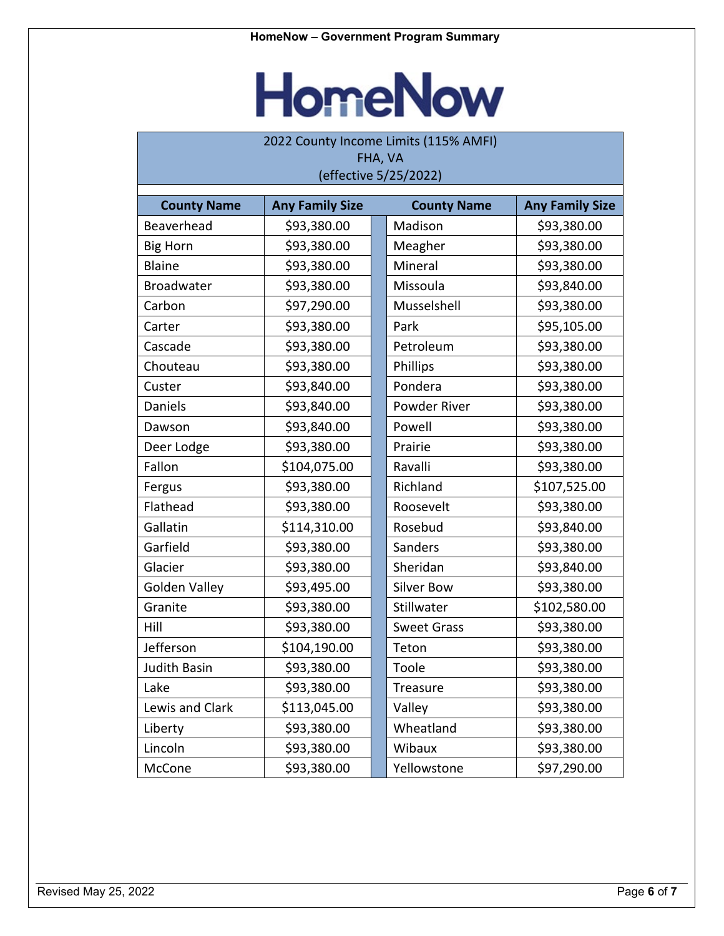## **HomeNow**

| 2022 County Income Limits (115% AMFI) |                        |  |                     |                        |  |
|---------------------------------------|------------------------|--|---------------------|------------------------|--|
| FHA, VA<br>(effective 5/25/2022)      |                        |  |                     |                        |  |
|                                       |                        |  |                     |                        |  |
| <b>County Name</b>                    | <b>Any Family Size</b> |  | <b>County Name</b>  | <b>Any Family Size</b> |  |
| Beaverhead                            | \$93,380.00            |  | Madison             | \$93,380.00            |  |
| <b>Big Horn</b>                       | \$93,380.00            |  | Meagher             | \$93,380.00            |  |
| <b>Blaine</b>                         | \$93,380.00            |  | Mineral             | \$93,380.00            |  |
| Broadwater                            | \$93,380.00            |  | Missoula            | \$93,840.00            |  |
| Carbon                                | \$97,290.00            |  | Musselshell         | \$93,380.00            |  |
| Carter                                | \$93,380.00            |  | Park                | \$95,105.00            |  |
| Cascade                               | \$93,380.00            |  | Petroleum           | \$93,380.00            |  |
| Chouteau                              | \$93,380.00            |  | Phillips            | \$93,380.00            |  |
| Custer                                | \$93,840.00            |  | Pondera             | \$93,380.00            |  |
| Daniels                               | \$93,840.00            |  | <b>Powder River</b> | \$93,380.00            |  |
| Dawson                                | \$93,840.00            |  | Powell              | \$93,380.00            |  |
| Deer Lodge                            | \$93,380.00            |  | Prairie             | \$93,380.00            |  |
| Fallon                                | \$104,075.00           |  | Ravalli             | \$93,380.00            |  |
| Fergus                                | \$93,380.00            |  | Richland            | \$107,525.00           |  |
| Flathead                              | \$93,380.00            |  | Roosevelt           | \$93,380.00            |  |
| Gallatin                              | \$114,310.00           |  | Rosebud             | \$93,840.00            |  |
| Garfield                              | \$93,380.00            |  | Sanders             | \$93,380.00            |  |
| Glacier                               | \$93,380.00            |  | Sheridan            | \$93,840.00            |  |
| <b>Golden Valley</b>                  | \$93,495.00            |  | <b>Silver Bow</b>   | \$93,380.00            |  |
| Granite                               | \$93,380.00            |  | Stillwater          | \$102,580.00           |  |
| Hill                                  | \$93,380.00            |  | <b>Sweet Grass</b>  | \$93,380.00            |  |
| Jefferson                             | \$104,190.00           |  | Teton               | \$93,380.00            |  |
| Judith Basin                          | \$93,380.00            |  | Toole               | \$93,380.00            |  |
| Lake                                  | \$93,380.00            |  | Treasure            | \$93,380.00            |  |
| Lewis and Clark                       | \$113,045.00           |  | Valley              | \$93,380.00            |  |
| Liberty                               | \$93,380.00            |  | Wheatland           | \$93,380.00            |  |
| Lincoln                               | \$93,380.00            |  | Wibaux              | \$93,380.00            |  |
| McCone                                | \$93,380.00            |  | Yellowstone         | \$97,290.00            |  |